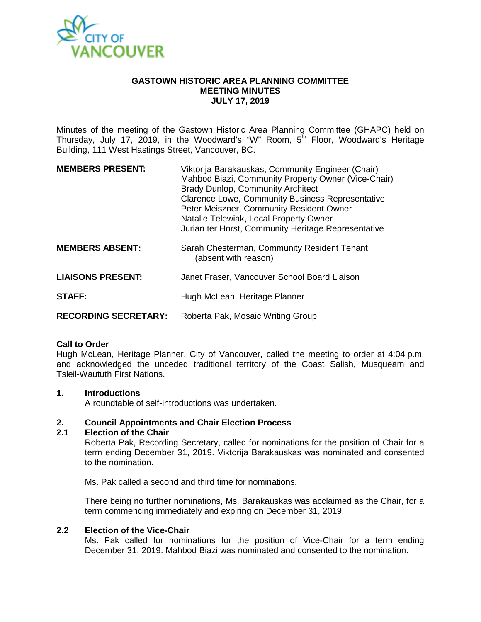

#### **GASTOWN HISTORIC AREA PLANNING COMMITTEE MEETING MINUTES JULY 17, 2019**

Minutes of the meeting of the Gastown Historic Area Planning Committee (GHAPC) held on Thursday, July 17, 2019, in the Woodward's "W" Room, 5<sup>th</sup> Floor, Woodward's Heritage Building, 111 West Hastings Street, Vancouver, BC.

| <b>MEMBERS PRESENT:</b>     | Viktorija Barakauskas, Community Engineer (Chair)<br>Mahbod Biazi, Community Property Owner (Vice-Chair)<br><b>Brady Dunlop, Community Architect</b><br><b>Clarence Lowe, Community Business Representative</b><br>Peter Meiszner, Community Resident Owner<br>Natalie Telewiak, Local Property Owner<br>Jurian ter Horst, Community Heritage Representative |
|-----------------------------|--------------------------------------------------------------------------------------------------------------------------------------------------------------------------------------------------------------------------------------------------------------------------------------------------------------------------------------------------------------|
| <b>MEMBERS ABSENT:</b>      | Sarah Chesterman, Community Resident Tenant<br>(absent with reason)                                                                                                                                                                                                                                                                                          |
| <b>LIAISONS PRESENT:</b>    | Janet Fraser, Vancouver School Board Liaison                                                                                                                                                                                                                                                                                                                 |
| <b>STAFF:</b>               | Hugh McLean, Heritage Planner                                                                                                                                                                                                                                                                                                                                |
| <b>RECORDING SECRETARY:</b> | Roberta Pak, Mosaic Writing Group                                                                                                                                                                                                                                                                                                                            |

#### **Call to Order**

Hugh McLean, Heritage Planner, City of Vancouver, called the meeting to order at 4:04 p.m. and acknowledged the unceded traditional territory of the Coast Salish, Musqueam and Tsleil-Waututh First Nations.

# **1. Introductions**

A roundtable of self-introductions was undertaken.

# **2. Council Appointments and Chair Election Process**

#### **2.1 Election of the Chair**

Roberta Pak, Recording Secretary, called for nominations for the position of Chair for a term ending December 31, 2019. Viktorija Barakauskas was nominated and consented to the nomination.

Ms. Pak called a second and third time for nominations.

There being no further nominations, Ms. Barakauskas was acclaimed as the Chair, for a term commencing immediately and expiring on December 31, 2019.

# **2.2 Election of the Vice-Chair**

Ms. Pak called for nominations for the position of Vice-Chair for a term ending December 31, 2019. Mahbod Biazi was nominated and consented to the nomination.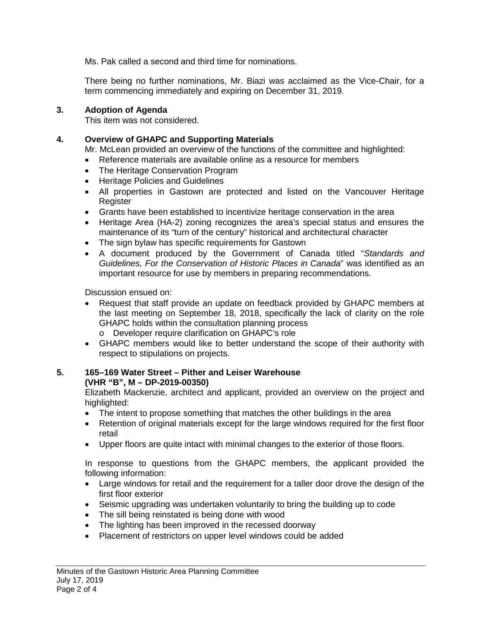Ms. Pak called a second and third time for nominations.

There being no further nominations, Mr. Biazi was acclaimed as the Vice-Chair, for a term commencing immediately and expiring on December 31, 2019.

# **3. Adoption of Agenda**

This item was not considered.

# **4. Overview of GHAPC and Supporting Materials**

Mr. McLean provided an overview of the functions of the committee and highlighted:

- Reference materials are available online as a resource for members
- The Heritage Conservation Program
- Heritage Policies and Guidelines
- All properties in Gastown are protected and listed on the Vancouver Heritage Register
- Grants have been established to incentivize heritage conservation in the area
- Heritage Area (HA-2) zoning recognizes the area's special status and ensures the maintenance of its "turn of the century" historical and architectural character
- The sign bylaw has specific requirements for Gastown
- A document produced by the Government of Canada titled "*Standards and Guidelines, For the Conservation of Historic Places in Canada*" was identified as an important resource for use by members in preparing recommendations.

Discussion ensued on:

- Request that staff provide an update on feedback provided by GHAPC members at the last meeting on September 18, 2018, specifically the lack of clarity on the role GHAPC holds within the consultation planning process
	- o Developer require clarification on GHAPC's role
- GHAPC members would like to better understand the scope of their authority with respect to stipulations on projects.

# **5. 165–169 Water Street – Pither and Leiser Warehouse (VHR "B", M – DP-2019-00350)**

Elizabeth Mackenzie, architect and applicant, provided an overview on the project and highlighted:

- The intent to propose something that matches the other buildings in the area
- Retention of original materials except for the large windows required for the first floor retail
- Upper floors are quite intact with minimal changes to the exterior of those floors.

In response to questions from the GHAPC members, the applicant provided the following information:

- Large windows for retail and the requirement for a taller door drove the design of the first floor exterior
- Seismic upgrading was undertaken voluntarily to bring the building up to code
- The sill being reinstated is being done with wood
- The lighting has been improved in the recessed doorway
- Placement of restrictors on upper level windows could be added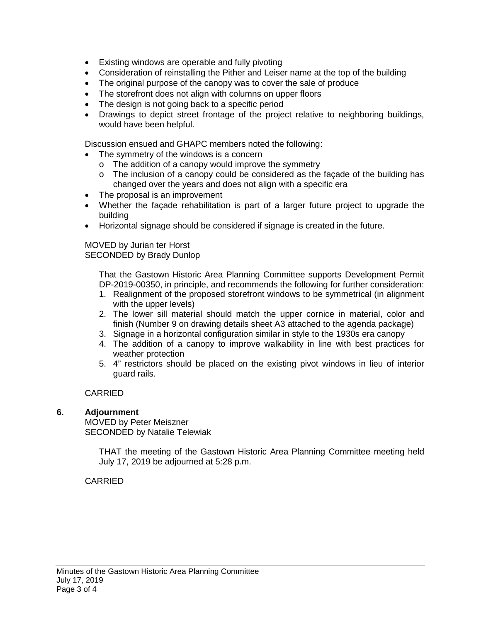- Existing windows are operable and fully pivoting
- Consideration of reinstalling the Pither and Leiser name at the top of the building
- The original purpose of the canopy was to cover the sale of produce
- The storefront does not align with columns on upper floors
- The design is not going back to a specific period
- Drawings to depict street frontage of the project relative to neighboring buildings, would have been helpful.

Discussion ensued and GHAPC members noted the following:

- The symmetry of the windows is a concern
	- o The addition of a canopy would improve the symmetry
	- o The inclusion of a canopy could be considered as the façade of the building has changed over the years and does not align with a specific era
- The proposal is an improvement
- Whether the façade rehabilitation is part of a larger future project to upgrade the building
- Horizontal signage should be considered if signage is created in the future.

MOVED by Jurian ter Horst SECONDED by Brady Dunlop

> That the Gastown Historic Area Planning Committee supports Development Permit DP-2019-00350, in principle, and recommends the following for further consideration:

- 1. Realignment of the proposed storefront windows to be symmetrical (in alignment with the upper levels)
- 2. The lower sill material should match the upper cornice in material, color and finish (Number 9 on drawing details sheet A3 attached to the agenda package)
- 3. Signage in a horizontal configuration similar in style to the 1930s era canopy
- 4. The addition of a canopy to improve walkability in line with best practices for weather protection
- 5. 4" restrictors should be placed on the existing pivot windows in lieu of interior guard rails.

CARRIED

# **6. Adjournment**

MOVED by Peter Meiszner SECONDED by Natalie Telewiak

> THAT the meeting of the Gastown Historic Area Planning Committee meeting held July 17, 2019 be adjourned at 5:28 p.m.

# CARRIED